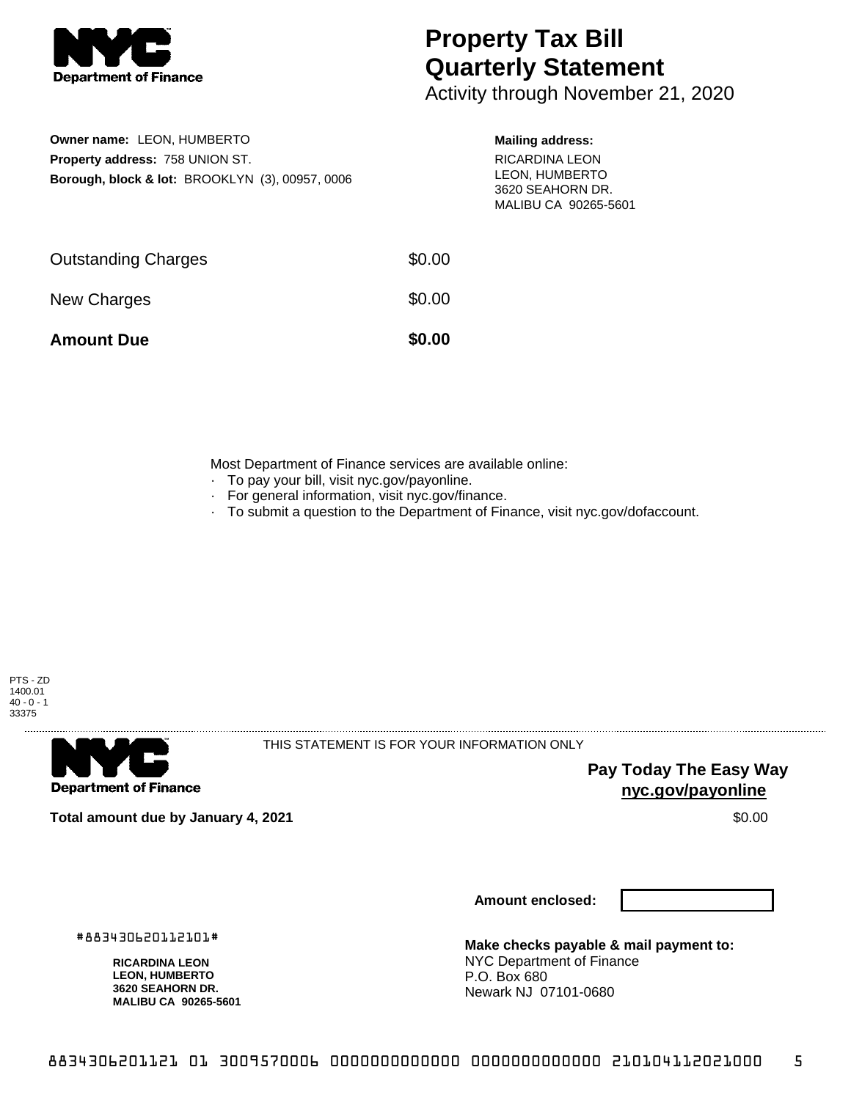

## **Property Tax Bill Quarterly Statement**

Activity through November 21, 2020

| Owner name: LEON. HUMBERTO                                 |
|------------------------------------------------------------|
| <b>Property address: 758 UNION ST.</b>                     |
| <b>Borough, block &amp; lot: BROOKLYN (3), 00957, 0006</b> |

## **Mailing address:**

RICARDINA LEON LEON, HUMBERTO 3620 SEAHORN DR. MALIBU CA 90265-5601

| <b>Amount Due</b>          | \$0.00 |
|----------------------------|--------|
| New Charges                | \$0.00 |
| <b>Outstanding Charges</b> | \$0.00 |

Most Department of Finance services are available online:

- · To pay your bill, visit nyc.gov/payonline.
- For general information, visit nyc.gov/finance.
- · To submit a question to the Department of Finance, visit nyc.gov/dofaccount.





THIS STATEMENT IS FOR YOUR INFORMATION ONLY

**Pay Today The Easy Way nyc.gov/payonline**

**Total amount due by January 4, 2021** \$0.00

#883430620112101#

**RICARDINA LEON LEON, HUMBERTO 3620 SEAHORN DR. MALIBU CA 90265-5601** **Amount enclosed:**

**Make checks payable & mail payment to:** NYC Department of Finance P.O. Box 680 Newark NJ 07101-0680

8834306201121 01 3009570006 0000000000000 0000000000000 210104112021000 5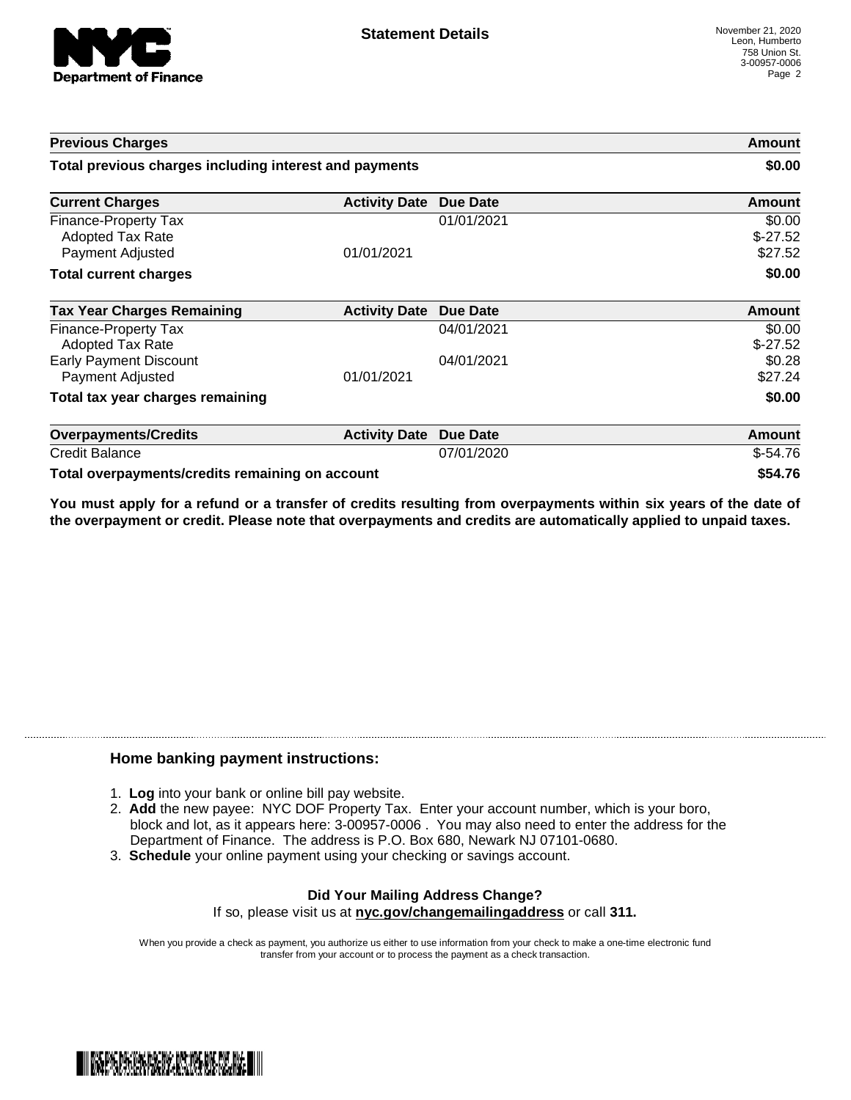

| <b>Previous Charges</b>                                                    |                      |                 | Amount                         |
|----------------------------------------------------------------------------|----------------------|-----------------|--------------------------------|
| Total previous charges including interest and payments                     |                      |                 | \$0.00                         |
| <b>Current Charges</b>                                                     | <b>Activity Date</b> | Due Date        | <b>Amount</b>                  |
| Finance-Property Tax<br><b>Adopted Tax Rate</b><br><b>Payment Adjusted</b> | 01/01/2021           | 01/01/2021      | \$0.00<br>$$-27.52$<br>\$27.52 |
| <b>Total current charges</b>                                               |                      |                 | \$0.00                         |
| <b>Tax Year Charges Remaining</b>                                          | <b>Activity Date</b> | <b>Due Date</b> | Amount                         |
| <b>Finance-Property Tax</b><br>Adopted Tax Rate                            |                      | 04/01/2021      | \$0.00<br>$$-27.52$            |
| <b>Early Payment Discount</b><br>Payment Adjusted                          | 01/01/2021           | 04/01/2021      | \$0.28<br>\$27.24              |
| Total tax year charges remaining                                           |                      |                 | \$0.00                         |
| <b>Overpayments/Credits</b>                                                | <b>Activity Date</b> | <b>Due Date</b> | <b>Amount</b>                  |
| <b>Credit Balance</b>                                                      |                      | 07/01/2020      | $$-54.76$                      |
| Total overpayments/credits remaining on account                            |                      |                 | \$54.76                        |

You must apply for a refund or a transfer of credits resulting from overpayments within six years of the date of **the overpayment or credit. Please note that overpayments and credits are automatically applied to unpaid taxes.**

## **Home banking payment instructions:**

- 1. **Log** into your bank or online bill pay website.
- 2. **Add** the new payee: NYC DOF Property Tax. Enter your account number, which is your boro, block and lot, as it appears here: 3-00957-0006 . You may also need to enter the address for the Department of Finance. The address is P.O. Box 680, Newark NJ 07101-0680.
- 3. **Schedule** your online payment using your checking or savings account.

## **Did Your Mailing Address Change?** If so, please visit us at **nyc.gov/changemailingaddress** or call **311.**

When you provide a check as payment, you authorize us either to use information from your check to make a one-time electronic fund transfer from your account or to process the payment as a check transaction.